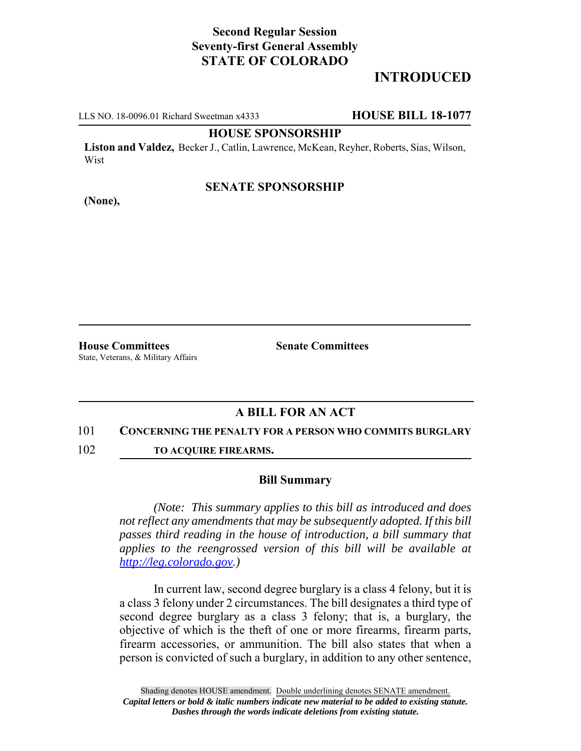# **Second Regular Session Seventy-first General Assembly STATE OF COLORADO**

# **INTRODUCED**

LLS NO. 18-0096.01 Richard Sweetman x4333 **HOUSE BILL 18-1077**

### **HOUSE SPONSORSHIP**

**Liston and Valdez,** Becker J., Catlin, Lawrence, McKean, Reyher, Roberts, Sias, Wilson, Wist

### **SENATE SPONSORSHIP**

**(None),**

**House Committees Senate Committees** State, Veterans, & Military Affairs

## **A BILL FOR AN ACT**

#### 101 **CONCERNING THE PENALTY FOR A PERSON WHO COMMITS BURGLARY**

102 **TO ACQUIRE FIREARMS.**

#### **Bill Summary**

*(Note: This summary applies to this bill as introduced and does not reflect any amendments that may be subsequently adopted. If this bill passes third reading in the house of introduction, a bill summary that applies to the reengrossed version of this bill will be available at http://leg.colorado.gov.)*

In current law, second degree burglary is a class 4 felony, but it is a class 3 felony under 2 circumstances. The bill designates a third type of second degree burglary as a class 3 felony; that is, a burglary, the objective of which is the theft of one or more firearms, firearm parts, firearm accessories, or ammunition. The bill also states that when a person is convicted of such a burglary, in addition to any other sentence,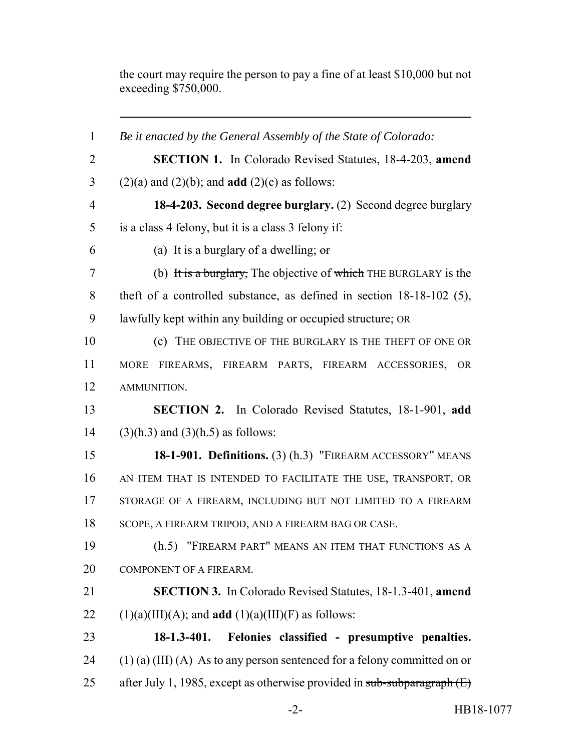the court may require the person to pay a fine of at least \$10,000 but not exceeding \$750,000.

| $\mathbf{1}$   | Be it enacted by the General Assembly of the State of Colorado:             |  |  |  |
|----------------|-----------------------------------------------------------------------------|--|--|--|
| $\overline{2}$ | <b>SECTION 1.</b> In Colorado Revised Statutes, 18-4-203, amend             |  |  |  |
| $\mathfrak{Z}$ | $(2)(a)$ and $(2)(b)$ ; and <b>add</b> $(2)(c)$ as follows:                 |  |  |  |
| $\overline{4}$ | 18-4-203. Second degree burglary. (2) Second degree burglary                |  |  |  |
| 5              | is a class 4 felony, but it is a class 3 felony if:                         |  |  |  |
| 6              | (a) It is a burglary of a dwelling; $\sigma$                                |  |  |  |
| $\tau$         | (b) It is a burglary, The objective of which THE BURGLARY is the            |  |  |  |
| 8              | theft of a controlled substance, as defined in section $18-18-102$ (5),     |  |  |  |
| 9              | lawfully kept within any building or occupied structure; OR                 |  |  |  |
| 10             | (c) THE OBJECTIVE OF THE BURGLARY IS THE THEFT OF ONE OR                    |  |  |  |
| 11             | MORE FIREARMS, FIREARM PARTS, FIREARM ACCESSORIES,<br><b>OR</b>             |  |  |  |
| 12             | AMMUNITION.                                                                 |  |  |  |
| 13             | SECTION 2. In Colorado Revised Statutes, 18-1-901, add                      |  |  |  |
| 14             | $(3)(h.3)$ and $(3)(h.5)$ as follows:                                       |  |  |  |
| 15             | 18-1-901. Definitions. (3) (h.3) "FIREARM ACCESSORY" MEANS                  |  |  |  |
| 16             | AN ITEM THAT IS INTENDED TO FACILITATE THE USE, TRANSPORT, OR               |  |  |  |
| 17             | STORAGE OF A FIREARM, INCLUDING BUT NOT LIMITED TO A FIREARM                |  |  |  |
| 18             | SCOPE, A FIREARM TRIPOD, AND A FIREARM BAG OR CASE.                         |  |  |  |
| 19             | (h.5) "FIREARM PART" MEANS AN ITEM THAT FUNCTIONS AS A                      |  |  |  |
| 20             | COMPONENT OF A FIREARM.                                                     |  |  |  |
| 21             | <b>SECTION 3.</b> In Colorado Revised Statutes, 18-1.3-401, amend           |  |  |  |
| 22             | $(1)(a)(III)(A)$ ; and <b>add</b> $(1)(a)(III)(F)$ as follows:              |  |  |  |
| 23             | $18-1.3-401.$<br>Felonies classified - presumptive penalties.               |  |  |  |
| 24             | $(1)$ (a) (III) (A) As to any person sentenced for a felony committed on or |  |  |  |
| 25             | after July 1, 1985, except as otherwise provided in sub-subparagraph $(E)$  |  |  |  |
|                |                                                                             |  |  |  |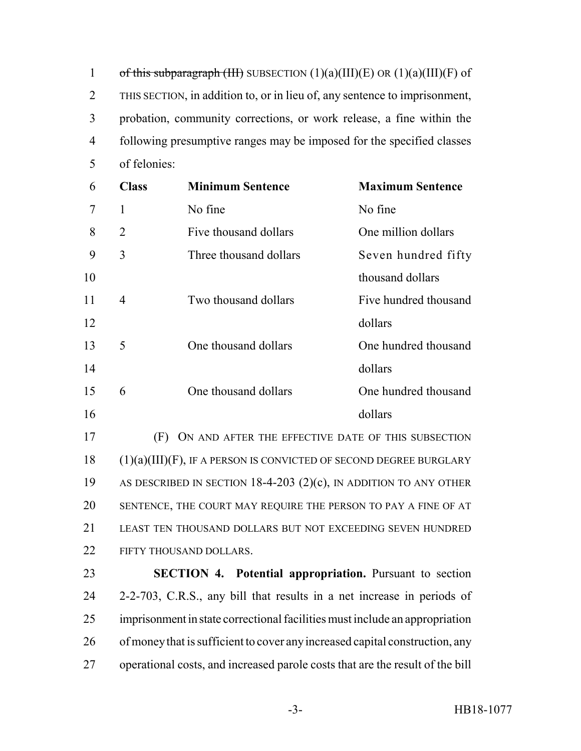1 of this subparagraph (III) SUBSECTION  $(1)(a)(III)(E)$  OR  $(1)(a)(III)(F)$  of THIS SECTION, in addition to, or in lieu of, any sentence to imprisonment, probation, community corrections, or work release, a fine within the following presumptive ranges may be imposed for the specified classes of felonies:

| 6  | <b>Class</b>   | <b>Minimum Sentence</b> | <b>Maximum Sentence</b> |
|----|----------------|-------------------------|-------------------------|
| 7  | 1              | No fine                 | No fine                 |
| 8  | $\overline{2}$ | Five thousand dollars   | One million dollars     |
| 9  | 3              | Three thousand dollars  | Seven hundred fifty     |
| 10 |                |                         | thousand dollars        |
| 11 | 4              | Two thousand dollars    | Five hundred thousand   |
| 12 |                |                         | dollars                 |
| 13 | 5              | One thousand dollars    | One hundred thousand    |
| 14 |                |                         | dollars                 |
| 15 | 6              | One thousand dollars    | One hundred thousand    |
| 16 |                |                         | dollars                 |
|    |                |                         |                         |

 (F) ON AND AFTER THE EFFECTIVE DATE OF THIS SUBSECTION (1)(a)(III)(F), IF A PERSON IS CONVICTED OF SECOND DEGREE BURGLARY AS DESCRIBED IN SECTION 18-4-203 (2)(c), IN ADDITION TO ANY OTHER SENTENCE, THE COURT MAY REQUIRE THE PERSON TO PAY A FINE OF AT LEAST TEN THOUSAND DOLLARS BUT NOT EXCEEDING SEVEN HUNDRED 22 FIFTY THOUSAND DOLLARS.

 **SECTION 4. Potential appropriation.** Pursuant to section 2-2-703, C.R.S., any bill that results in a net increase in periods of imprisonment in state correctional facilities must include an appropriation of money that is sufficient to cover any increased capital construction, any operational costs, and increased parole costs that are the result of the bill